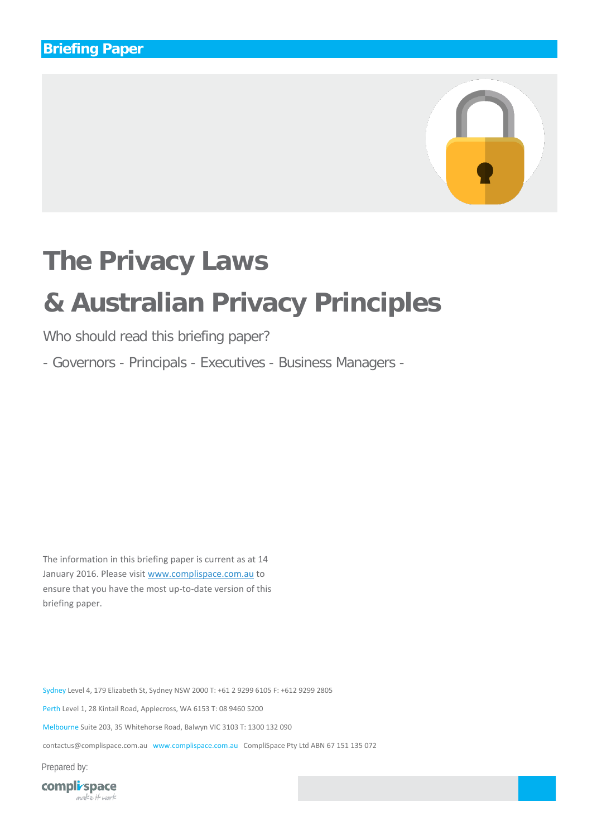

# **The Privacy Laws**

# **& Australian Privacy Principles**

Who should read this briefing paper?

- Governors - Principals - Executives - Business Managers -

The information in this briefing paper is current as at 14 January 2016. Please visi[t www.complispace.com.au](http://www.complispace.com.au/) to ensure that you have the most up-to-date version of this briefing paper.

Sydney Level 4, 179 Elizabeth St, Sydney NSW 2000 T: +61 2 9299 6105 F: +612 9299 2805 Perth Level 1, 28 Kintail Road, Applecross, WA 6153 T: 08 9460 5200 Melbourne Suite 203, 35 Whitehorse Road, Balwyn VIC 3103 T: 1300 132 090 contactus@complispace.com.au www.complispace.com.au CompliSpace Pty Ltd ABN 67 151 135 072

Prepared by:

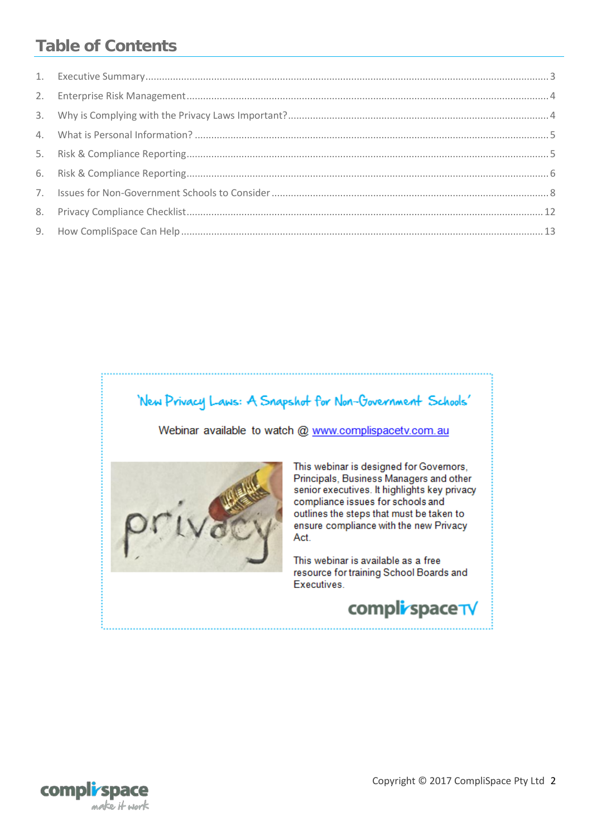## **Table of Contents**

## 'New Privacy Laws: A Snapshot for Non-Government Schools'

Webinar available to watch @ www.complispacetv.com.au



This webinar is designed for Governors, Principals, Business Managers and other senior executives. It highlights key privacy compliance issues for schools and outlines the steps that must be taken to ensure compliance with the new Privacy Act.

This webinar is available as a free resource for training School Boards and Executives.



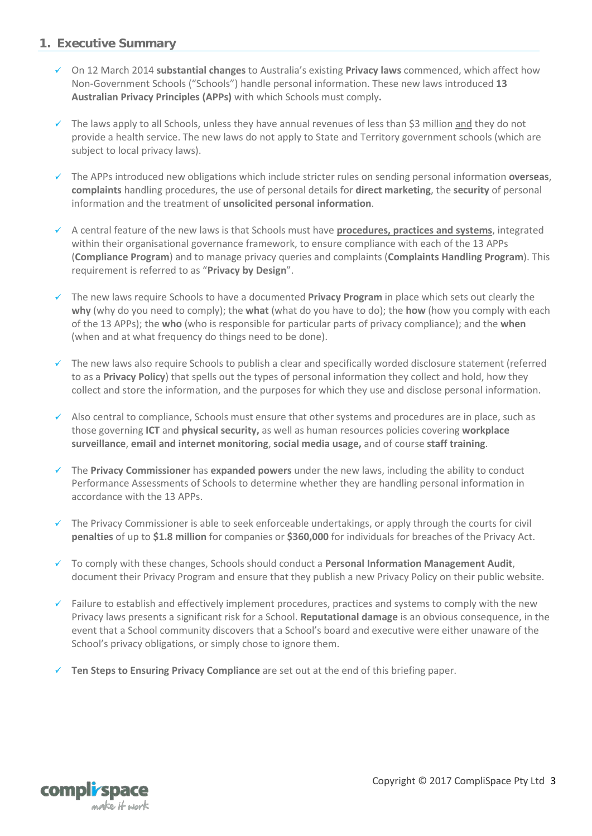#### <span id="page-2-0"></span>**1. Executive Summary**

- On 12 March 2014 **substantial changes** to Australia's existing **Privacy laws** commenced, which affect how Non-Government Schools ("Schools") handle personal information. These new laws introduced **13 Australian Privacy Principles (APPs)** with which Schools must comply**.**
- $\checkmark$  The laws apply to all Schools, unless they have annual revenues of less than \$3 million and they do not provide a health service. The new laws do not apply to State and Territory government schools (which are subject to local privacy laws).
- The APPs introduced new obligations which include stricter rules on sending personal information **overseas**, **complaints** handling procedures, the use of personal details for **direct marketing**, the **security** of personal information and the treatment of **unsolicited personal information**.
- A central feature of the new laws is that Schools must have **procedures, practices and systems**, integrated within their organisational governance framework, to ensure compliance with each of the 13 APPs (**Compliance Program**) and to manage privacy queries and complaints (**Complaints Handling Program**). This requirement is referred to as "**Privacy by Design**".
- The new laws require Schools to have a documented **Privacy Program** in place which sets out clearly the **why** (why do you need to comply); the **what** (what do you have to do); the **how** (how you comply with each of the 13 APPs); the **who** (who is responsible for particular parts of privacy compliance); and the **when** (when and at what frequency do things need to be done).
- The new laws also require Schools to publish a clear and specifically worded disclosure statement (referred to as a **Privacy Policy**) that spells out the types of personal information they collect and hold, how they collect and store the information, and the purposes for which they use and disclose personal information.
- $\checkmark$  Also central to compliance, Schools must ensure that other systems and procedures are in place, such as those governing **ICT** and **physical security,** as well as human resources policies covering **workplace surveillance**, **email and internet monitoring**, **social media usage,** and of course **staff training**.
- The **Privacy Commissioner** has **expanded powers** under the new laws, including the ability to conduct Performance Assessments of Schools to determine whether they are handling personal information in accordance with the 13 APPs.
- $\checkmark$  The Privacy Commissioner is able to seek enforceable undertakings, or apply through the courts for civil **penalties** of up to **\$1.8 million** for companies or **\$360,000** for individuals for breaches of the Privacy Act.
- To comply with these changes, Schools should conduct a **Personal Information Management Audit**, document their Privacy Program and ensure that they publish a new Privacy Policy on their public website.
- $\checkmark$  Failure to establish and effectively implement procedures, practices and systems to comply with the new Privacy laws presents a significant risk for a School. **Reputational damage** is an obvious consequence, in the event that a School community discovers that a School's board and executive were either unaware of the School's privacy obligations, or simply chose to ignore them.
- **Ten Steps to Ensuring Privacy Compliance** are set out at the end of this briefing paper.

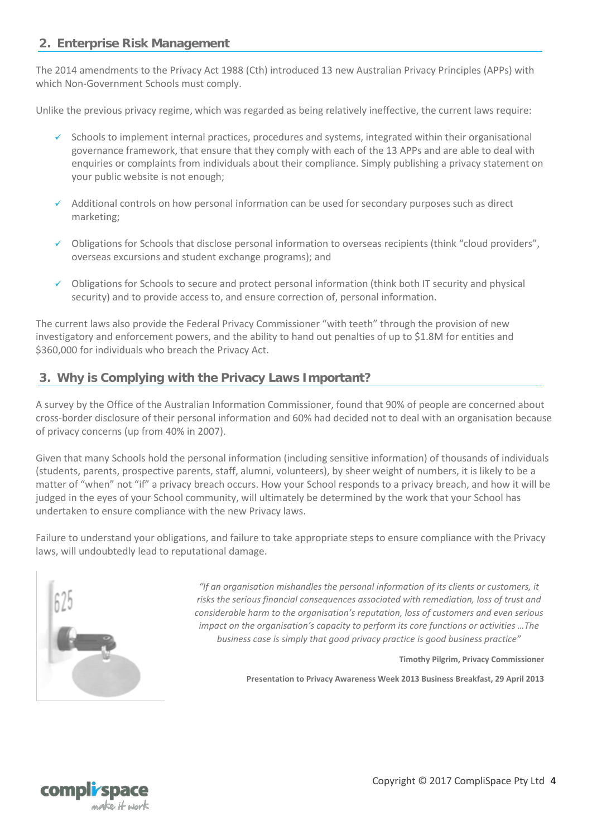#### <span id="page-3-0"></span>**2. Enterprise Risk Management**

The 2014 amendments to the Privacy Act 1988 (Cth) introduced 13 new Australian Privacy Principles (APPs) with which Non-Government Schools must comply.

Unlike the previous privacy regime, which was regarded as being relatively ineffective, the current laws require:

- $\checkmark$  Schools to implement internal practices, procedures and systems, integrated within their organisational governance framework, that ensure that they comply with each of the 13 APPs and are able to deal with enquiries or complaints from individuals about their compliance. Simply publishing a privacy statement on your public website is not enough;
- $\checkmark$  Additional controls on how personal information can be used for secondary purposes such as direct marketing;
- Obligations for Schools that disclose personal information to overseas recipients (think "cloud providers", overseas excursions and student exchange programs); and
- $\checkmark$  Obligations for Schools to secure and protect personal information (think both IT security and physical security) and to provide access to, and ensure correction of, personal information.

The current laws also provide the Federal Privacy Commissioner "with teeth" through the provision of new investigatory and enforcement powers, and the ability to hand out penalties of up to \$1.8M for entities and \$360,000 for individuals who breach the Privacy Act.

## <span id="page-3-1"></span>**3. Why is Complying with the Privacy Laws Important?**

A survey by the Office of the Australian Information Commissioner, found that 90% of people are concerned about cross-border disclosure of their personal information and 60% had decided not to deal with an organisation because of privacy concerns (up from 40% in 2007).

Given that many Schools hold the personal information (including sensitive information) of thousands of individuals (students, parents, prospective parents, staff, alumni, volunteers), by sheer weight of numbers, it is likely to be a matter of "when" not "if" a privacy breach occurs. How your School responds to a privacy breach, and how it will be judged in the eyes of your School community, will ultimately be determined by the work that your School has undertaken to ensure compliance with the new Privacy laws.

Failure to understand your obligations, and failure to take appropriate steps to ensure compliance with the Privacy laws, will undoubtedly lead to reputational damage.



*"If an organisation mishandles the personal information of its clients or customers, it risks the serious financial consequences associated with remediation, loss of trust and considerable harm to the organisation's reputation, loss of customers and even serious impact on the organisation's capacity to perform its core functions or activities …The business case is simply that good privacy practice is good business practice"*

**Timothy Pilgrim, Privacy Commissioner**

**Presentation to Privacy Awareness Week 2013 Business Breakfast, 29 April 2013**

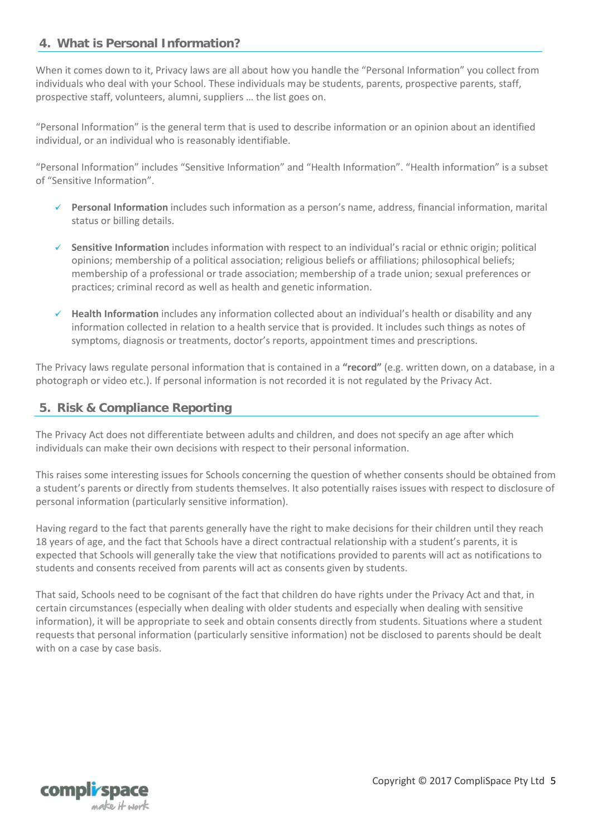#### <span id="page-4-0"></span>**4. What is Personal Information?**

When it comes down to it, Privacy laws are all about how you handle the "Personal Information" you collect from individuals who deal with your School. These individuals may be students, parents, prospective parents, staff, prospective staff, volunteers, alumni, suppliers … the list goes on.

"Personal Information" is the general term that is used to describe information or an opinion about an identified individual, or an individual who is reasonably identifiable.

"Personal Information" includes "Sensitive Information" and "Health Information". "Health information" is a subset of "Sensitive Information".

- **Personal Information** includes such information as a person's name, address, financial information, marital status or billing details.
- **Sensitive Information** includes information with respect to an individual's racial or ethnic origin; political opinions; membership of a political association; religious beliefs or affiliations; philosophical beliefs; membership of a professional or trade association; membership of a trade union; sexual preferences or practices; criminal record as well as health and genetic information.
- **Health Information** includes any information collected about an individual's health or disability and any information collected in relation to a health service that is provided. It includes such things as notes of symptoms, diagnosis or treatments, doctor's reports, appointment times and prescriptions.

The Privacy laws regulate personal information that is contained in a **"record"** (e.g. written down, on a database, in a photograph or video etc.). If personal information is not recorded it is not regulated by the Privacy Act.

#### <span id="page-4-1"></span>**5. Risk & Compliance Reporting**

The Privacy Act does not differentiate between adults and children, and does not specify an age after which individuals can make their own decisions with respect to their personal information.

This raises some interesting issues for Schools concerning the question of whether consents should be obtained from a student's parents or directly from students themselves. It also potentially raises issues with respect to disclosure of personal information (particularly sensitive information).

Having regard to the fact that parents generally have the right to make decisions for their children until they reach 18 years of age, and the fact that Schools have a direct contractual relationship with a student's parents, it is expected that Schools will generally take the view that notifications provided to parents will act as notifications to students and consents received from parents will act as consents given by students.

That said, Schools need to be cognisant of the fact that children do have rights under the Privacy Act and that, in certain circumstances (especially when dealing with older students and especially when dealing with sensitive information), it will be appropriate to seek and obtain consents directly from students. Situations where a student requests that personal information (particularly sensitive information) not be disclosed to parents should be dealt with on a case by case basis.



Copyright © 2017 CompliSpace Pty Ltd 5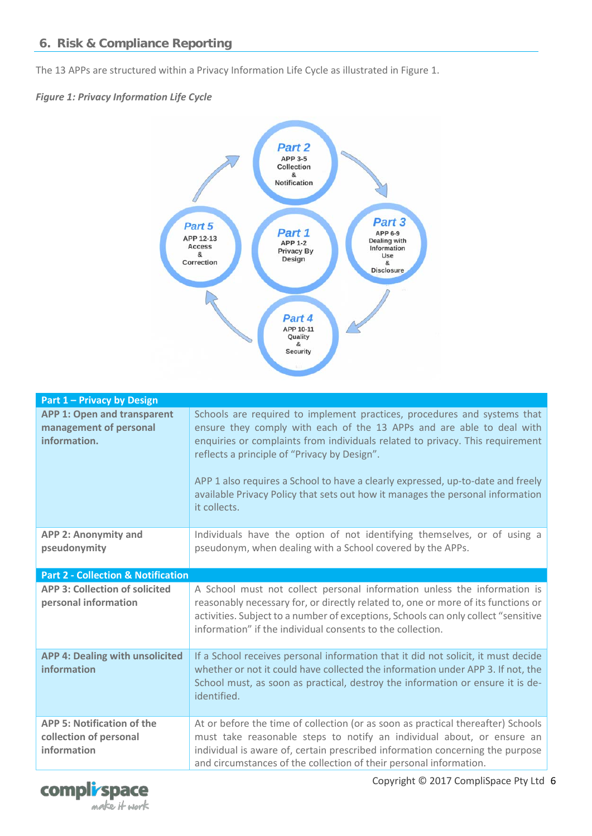<span id="page-5-0"></span>The 13 APPs are structured within a Privacy Information Life Cycle as illustrated in Figure 1.

#### *Figure 1: Privacy Information Life Cycle*



| <b>Part 1 - Privacy by Design</b>                                            |                                                                                                                                                                                                                                                                                                                                                                                                                                                                         |  |  |  |
|------------------------------------------------------------------------------|-------------------------------------------------------------------------------------------------------------------------------------------------------------------------------------------------------------------------------------------------------------------------------------------------------------------------------------------------------------------------------------------------------------------------------------------------------------------------|--|--|--|
| <b>APP 1: Open and transparent</b><br>management of personal<br>information. | Schools are required to implement practices, procedures and systems that<br>ensure they comply with each of the 13 APPs and are able to deal with<br>enquiries or complaints from individuals related to privacy. This requirement<br>reflects a principle of "Privacy by Design".<br>APP 1 also requires a School to have a clearly expressed, up-to-date and freely<br>available Privacy Policy that sets out how it manages the personal information<br>it collects. |  |  |  |
| APP 2: Anonymity and<br>pseudonymity                                         | Individuals have the option of not identifying themselves, or of using a<br>pseudonym, when dealing with a School covered by the APPs.                                                                                                                                                                                                                                                                                                                                  |  |  |  |
| <b>Part 2 - Collection &amp; Notification</b>                                |                                                                                                                                                                                                                                                                                                                                                                                                                                                                         |  |  |  |
| <b>APP 3: Collection of solicited</b><br>personal information                | A School must not collect personal information unless the information is<br>reasonably necessary for, or directly related to, one or more of its functions or<br>activities. Subject to a number of exceptions, Schools can only collect "sensitive<br>information" if the individual consents to the collection.                                                                                                                                                       |  |  |  |
| <b>APP 4: Dealing with unsolicited</b><br>information                        | If a School receives personal information that it did not solicit, it must decide<br>whether or not it could have collected the information under APP 3. If not, the<br>School must, as soon as practical, destroy the information or ensure it is de-<br>identified.                                                                                                                                                                                                   |  |  |  |
| <b>APP 5: Notification of the</b><br>collection of personal<br>information   | At or before the time of collection (or as soon as practical thereafter) Schools<br>must take reasonable steps to notify an individual about, or ensure an<br>individual is aware of, certain prescribed information concerning the purpose<br>and circumstances of the collection of their personal information.                                                                                                                                                       |  |  |  |

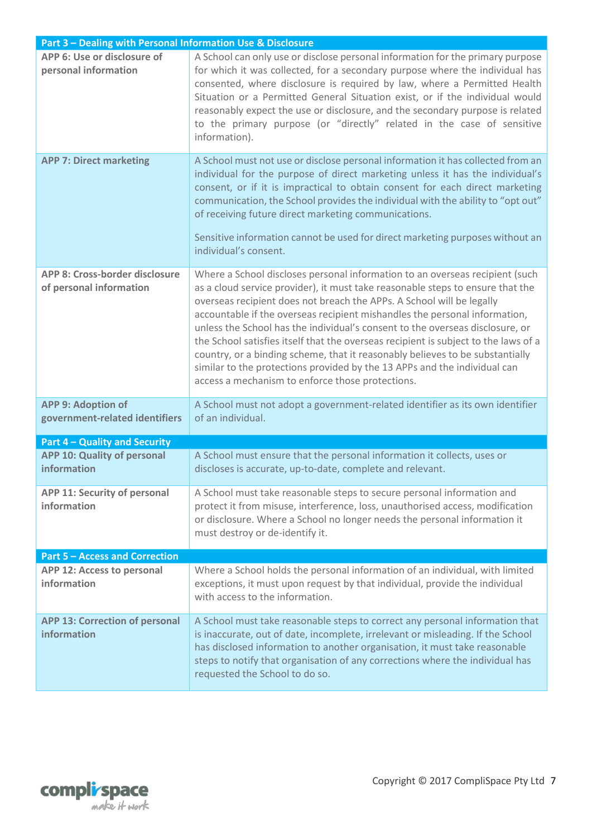| Part 3 - Dealing with Personal Information Use & Disclosure |                                                                                                                                                                                                                                                                                                                                                                                                                                                                                                                                                                                                                                                                                                                 |  |  |  |
|-------------------------------------------------------------|-----------------------------------------------------------------------------------------------------------------------------------------------------------------------------------------------------------------------------------------------------------------------------------------------------------------------------------------------------------------------------------------------------------------------------------------------------------------------------------------------------------------------------------------------------------------------------------------------------------------------------------------------------------------------------------------------------------------|--|--|--|
| APP 6: Use or disclosure of<br>personal information         | A School can only use or disclose personal information for the primary purpose<br>for which it was collected, for a secondary purpose where the individual has<br>consented, where disclosure is required by law, where a Permitted Health<br>Situation or a Permitted General Situation exist, or if the individual would<br>reasonably expect the use or disclosure, and the secondary purpose is related<br>to the primary purpose (or "directly" related in the case of sensitive<br>information).                                                                                                                                                                                                          |  |  |  |
| <b>APP 7: Direct marketing</b>                              | A School must not use or disclose personal information it has collected from an<br>individual for the purpose of direct marketing unless it has the individual's<br>consent, or if it is impractical to obtain consent for each direct marketing<br>communication, the School provides the individual with the ability to "opt out"<br>of receiving future direct marketing communications.<br>Sensitive information cannot be used for direct marketing purposes without an<br>individual's consent.                                                                                                                                                                                                           |  |  |  |
| APP 8: Cross-border disclosure<br>of personal information   | Where a School discloses personal information to an overseas recipient (such<br>as a cloud service provider), it must take reasonable steps to ensure that the<br>overseas recipient does not breach the APPs. A School will be legally<br>accountable if the overseas recipient mishandles the personal information,<br>unless the School has the individual's consent to the overseas disclosure, or<br>the School satisfies itself that the overseas recipient is subject to the laws of a<br>country, or a binding scheme, that it reasonably believes to be substantially<br>similar to the protections provided by the 13 APPs and the individual can<br>access a mechanism to enforce those protections. |  |  |  |
| <b>APP 9: Adoption of</b><br>government-related identifiers | A School must not adopt a government-related identifier as its own identifier<br>of an individual.                                                                                                                                                                                                                                                                                                                                                                                                                                                                                                                                                                                                              |  |  |  |
| <b>Part 4 - Quality and Security</b>                        |                                                                                                                                                                                                                                                                                                                                                                                                                                                                                                                                                                                                                                                                                                                 |  |  |  |
| APP 10: Quality of personal<br>information                  | A School must ensure that the personal information it collects, uses or<br>discloses is accurate, up-to-date, complete and relevant.                                                                                                                                                                                                                                                                                                                                                                                                                                                                                                                                                                            |  |  |  |
| <b>APP 11: Security of personal</b><br>information          | A School must take reasonable steps to secure personal information and<br>protect it from misuse, interference, loss, unauthorised access, modification<br>or disclosure. Where a School no longer needs the personal information it<br>must destroy or de-identify it.                                                                                                                                                                                                                                                                                                                                                                                                                                         |  |  |  |
| <b>Part 5 - Access and Correction</b>                       |                                                                                                                                                                                                                                                                                                                                                                                                                                                                                                                                                                                                                                                                                                                 |  |  |  |
| APP 12: Access to personal<br>information                   | Where a School holds the personal information of an individual, with limited<br>exceptions, it must upon request by that individual, provide the individual<br>with access to the information.                                                                                                                                                                                                                                                                                                                                                                                                                                                                                                                  |  |  |  |
| <b>APP 13: Correction of personal</b><br>information        | A School must take reasonable steps to correct any personal information that<br>is inaccurate, out of date, incomplete, irrelevant or misleading. If the School<br>has disclosed information to another organisation, it must take reasonable<br>steps to notify that organisation of any corrections where the individual has<br>requested the School to do so.                                                                                                                                                                                                                                                                                                                                                |  |  |  |

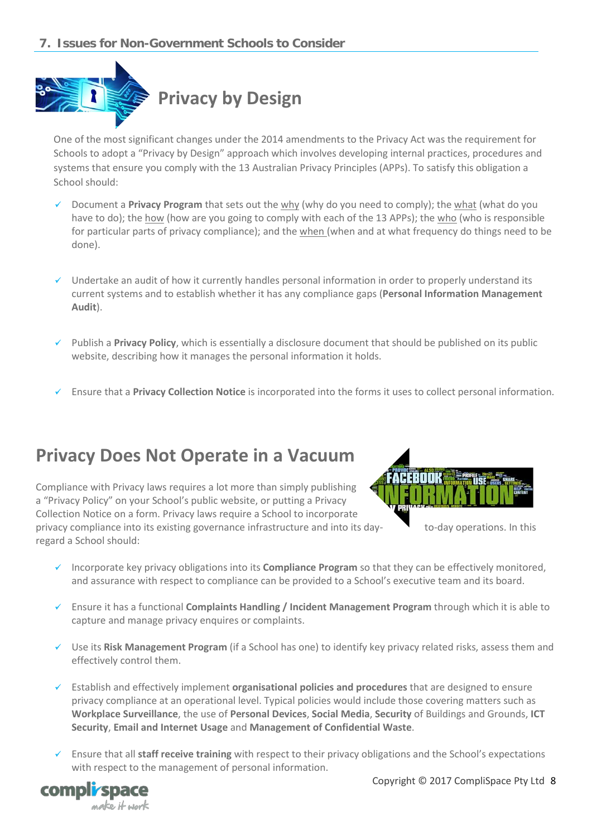### <span id="page-7-0"></span>**7. Issues for Non-Government Schools to Consider**



One of the most significant changes under the 2014 amendments to the Privacy Act was the requirement for Schools to adopt a "Privacy by Design" approach which involves developing internal practices, procedures and systems that ensure you comply with the 13 Australian Privacy Principles (APPs). To satisfy this obligation a School should:

- Document a **Privacy Program** that sets out the why (why do you need to comply); the what (what do you have to do); the how (how are you going to comply with each of the 13 APPs); the who (who is responsible for particular parts of privacy compliance); and the when (when and at what frequency do things need to be done).
- $\checkmark$  Undertake an audit of how it currently handles personal information in order to properly understand its current systems and to establish whether it has any compliance gaps (**Personal Information Management Audit**).
- Publish a **Privacy Policy**, which is essentially a disclosure document that should be published on its public website, describing how it manages the personal information it holds.
- Ensure that a **Privacy Collection Notice** is incorporated into the forms it uses to collect personal information.

## **Privacy Does Not Operate in a Vacuum**

Compliance with Privacy laws requires a lot more than simply publishing a "Privacy Policy" on your School's public website, or putting a Privacy Collection Notice on a form. Privacy laws require a School to incorporate privacy compliance into its existing governance infrastructure and into its day- to-day operations. In this regard a School should:



- Incorporate key privacy obligations into its **Compliance Program** so that they can be effectively monitored, and assurance with respect to compliance can be provided to a School's executive team and its board.
- Ensure it has a functional **Complaints Handling / Incident Management Program** through which it is able to capture and manage privacy enquires or complaints.
- Use its **Risk Management Program** (if a School has one) to identify key privacy related risks, assess them and effectively control them.
- Establish and effectively implement **organisational policies and procedures** that are designed to ensure privacy compliance at an operational level. Typical policies would include those covering matters such as **Workplace Surveillance**, the use of **Personal Devices**, **Social Media**, **Security** of Buildings and Grounds, **ICT Security**, **Email and Internet Usage** and **Management of Confidential Waste**.
- Ensure that all **staff receive training** with respect to their privacy obligations and the School's expectations with respect to the management of personal information.

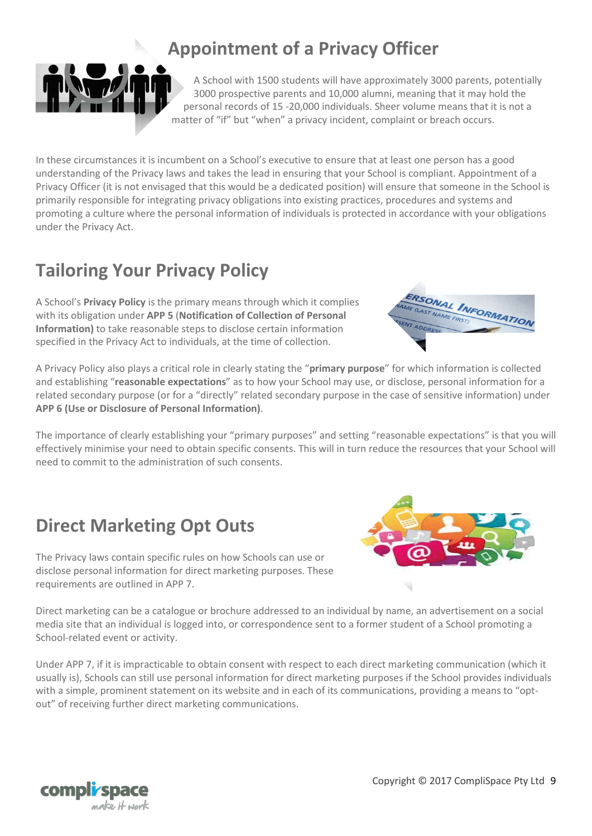## **Appointment of a Privacy Officer**

A School with 1500 students will have approximately 3000 parents, potentially 3000 prospective parents and 10,000 alumni, meaning that it may hold the personal records of 15 -20,000 individuals. Sheer volume means that it is not a matter of "if" but "when" a privacy incident, complaint or breach occurs.

In these circumstances it is incumbent on a School's executive to ensure that at least one person has a good understanding of the Privacy laws and takes the lead in ensuring that your School is compliant. Appointment of a Privacy Officer (it is not envisaged that this would be a dedicated position) will ensure that someone in the School is primarily responsible for integrating privacy obligations into existing practices, procedures and systems and promoting a culture where the personal information of individuals is protected in accordance with your obligations under the Privacy Act.

## **Tailoring Your Privacy Policy**

A School's **Privacy Policy** is the primary means through which it complies with its obligation under **APP 5** (**Notification of Collection of Personal Information)** to take reasonable steps to disclose certain information specified in the Privacy Act to individuals, at the time of collection.

A Privacy Policy also plays a critical role in clearly stating the "**primary purpose**" for which information is collected and establishing "**reasonable expectations**" as to how your School may use, or disclose, personal information for a related secondary purpose (or for a "directly" related secondary purpose in the case of sensitive information) under **APP 6 (Use or Disclosure of Personal Information)**.

The importance of clearly establishing your "primary purposes" and setting "reasonable expectations" is that you will effectively minimise your need to obtain specific consents. This will in turn reduce the resources that your School will need to commit to the administration of such consents.

## **Direct Marketing Opt Outs**

disclose personal information for direct marketing purposes. These requirements are outlined in APP 7.

The Privacy laws contain specific rules on how Schools can use or

Direct marketing can be a catalogue or brochure addressed to an individual by name, an advertisement on a social media site that an individual is logged into, or correspondence sent to a former student of a School promoting a School-related event or activity.

Under APP 7, if it is impracticable to obtain consent with respect to each direct marketing communication (which it usually is), Schools can still use personal information for direct marketing purposes if the School provides individuals with a simple, prominent statement on its website and in each of its communications, providing a means to "optout" of receiving further direct marketing communications.







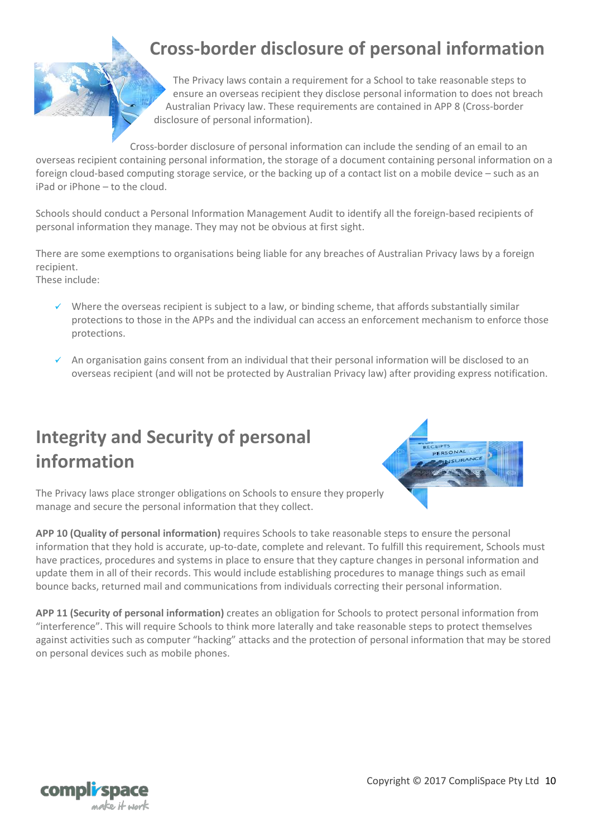## **Cross-border disclosure of personal information**

The Privacy laws contain a requirement for a School to take reasonable steps to ensure an overseas recipient they disclose personal information to does not breach Australian Privacy law. These requirements are contained in APP 8 (Cross-border disclosure of personal information).

Cross-border disclosure of personal information can include the sending of an email to an overseas recipient containing personal information, the storage of a document containing personal information on a foreign cloud-based computing storage service, or the backing up of a contact list on a mobile device – such as an iPad or iPhone – to the cloud.

Schools should conduct a Personal Information Management Audit to identify all the foreign-based recipients of personal information they manage. They may not be obvious at first sight.

There are some exemptions to organisations being liable for any breaches of Australian Privacy laws by a foreign recipient.

These include:

- Where the overseas recipient is subject to a law, or binding scheme, that affords substantially similar protections to those in the APPs and the individual can access an enforcement mechanism to enforce those protections.
- $\checkmark$  An organisation gains consent from an individual that their personal information will be disclosed to an overseas recipient (and will not be protected by Australian Privacy law) after providing express notification.

## **Integrity and Security of personal information**



The Privacy laws place stronger obligations on Schools to ensure they properly manage and secure the personal information that they collect.

**APP 10 (Quality of personal information)** requires Schools to take reasonable steps to ensure the personal information that they hold is accurate, up-to-date, complete and relevant. To fulfill this requirement, Schools must have practices, procedures and systems in place to ensure that they capture changes in personal information and update them in all of their records. This would include establishing procedures to manage things such as email bounce backs, returned mail and communications from individuals correcting their personal information.

**APP 11 (Security of personal information)** creates an obligation for Schools to protect personal information from "interference". This will require Schools to think more laterally and take reasonable steps to protect themselves against activities such as computer "hacking" attacks and the protection of personal information that may be stored on personal devices such as mobile phones.

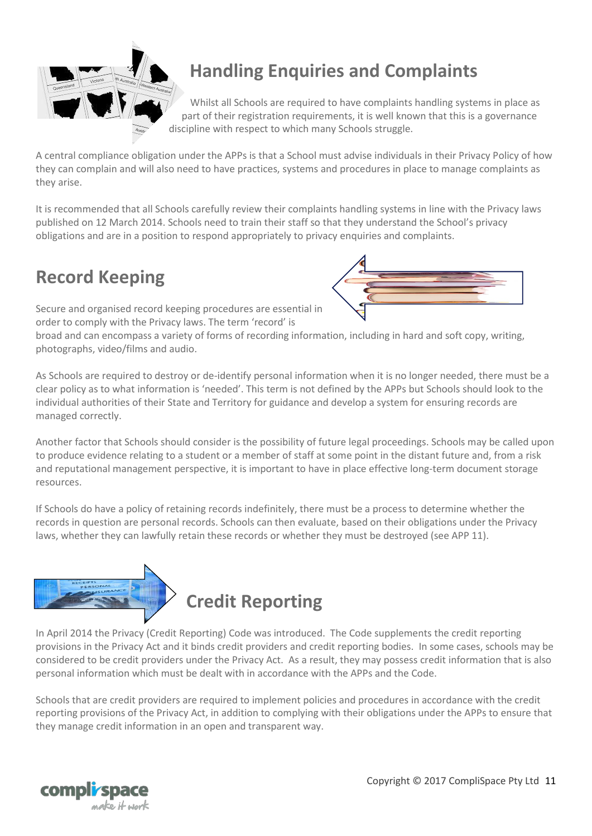

## **Handling Enquiries and Complaints**

Whilst all Schools are required to have complaints handling systems in place as part of their registration requirements, it is well known that this is a governance discipline with respect to which many Schools struggle.

A central compliance obligation under the APPs is that a School must advise individuals in their Privacy Policy of how they can complain and will also need to have practices, systems and procedures in place to manage complaints as they arise.

It is recommended that all Schools carefully review their complaints handling systems in line with the Privacy laws published on 12 March 2014. Schools need to train their staff so that they understand the School's privacy obligations and are in a position to respond appropriately to privacy enquiries and complaints.

## **Record Keeping**



Secure and organised record keeping procedures are essential in order to comply with the Privacy laws. The term 'record' is

broad and can encompass a variety of forms of recording information, including in hard and soft copy, writing, photographs, video/films and audio.

As Schools are required to destroy or de-identify personal information when it is no longer needed, there must be a clear policy as to what information is 'needed'. This term is not defined by the APPs but Schools should look to the individual authorities of their State and Territory for guidance and develop a system for ensuring records are managed correctly.

Another factor that Schools should consider is the possibility of future legal proceedings. Schools may be called upon to produce evidence relating to a student or a member of staff at some point in the distant future and, from a risk and reputational management perspective, it is important to have in place effective long-term document storage resources.

If Schools do have a policy of retaining records indefinitely, there must be a process to determine whether the records in question are personal records. Schools can then evaluate, based on their obligations under the Privacy laws, whether they can lawfully retain these records or whether they must be destroyed (see APP 11).



In April 2014 the Privacy (Credit Reporting) Code was introduced. The Code supplements the credit reporting provisions in the Privacy Act and it binds credit providers and credit reporting bodies. In some cases, schools may be considered to be credit providers under the Privacy Act. As a result, they may possess credit information that is also personal information which must be dealt with in accordance with the APPs and the Code.

Schools that are credit providers are required to implement policies and procedures in accordance with the credit reporting provisions of the Privacy Act, in addition to complying with their obligations under the APPs to ensure that they manage credit information in an open and transparent way.

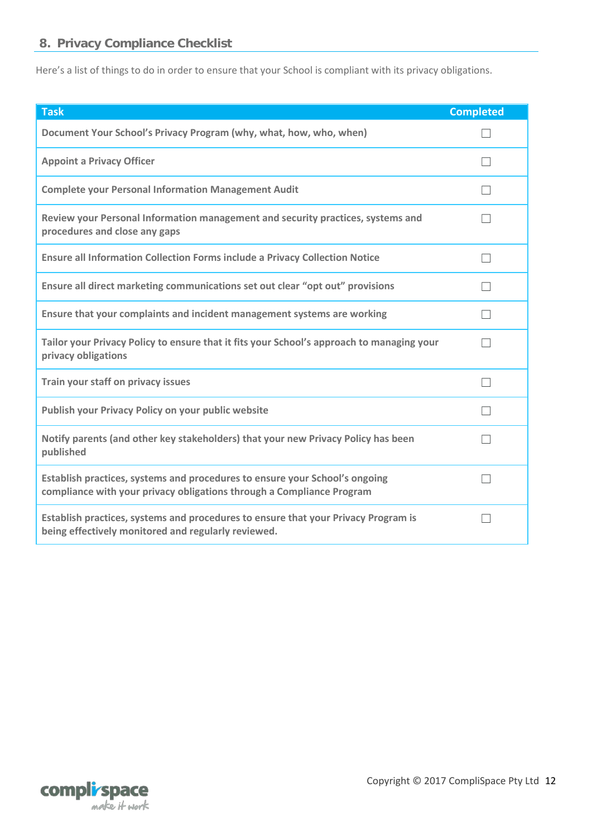## <span id="page-11-0"></span>**8. Privacy Compliance Checklist**

Here's a list of things to do in order to ensure that your School is compliant with its privacy obligations.

| <b>Task</b>                                                                                                                                          | <b>Completed</b> |
|------------------------------------------------------------------------------------------------------------------------------------------------------|------------------|
| Document Your School's Privacy Program (why, what, how, who, when)                                                                                   |                  |
| <b>Appoint a Privacy Officer</b>                                                                                                                     |                  |
| <b>Complete your Personal Information Management Audit</b>                                                                                           |                  |
| Review your Personal Information management and security practices, systems and<br>procedures and close any gaps                                     |                  |
| <b>Ensure all Information Collection Forms include a Privacy Collection Notice</b>                                                                   |                  |
| Ensure all direct marketing communications set out clear "opt out" provisions                                                                        |                  |
| Ensure that your complaints and incident management systems are working                                                                              |                  |
| Tailor your Privacy Policy to ensure that it fits your School's approach to managing your<br>privacy obligations                                     |                  |
| Train your staff on privacy issues                                                                                                                   |                  |
| Publish your Privacy Policy on your public website                                                                                                   |                  |
| Notify parents (and other key stakeholders) that your new Privacy Policy has been<br>published                                                       |                  |
| Establish practices, systems and procedures to ensure your School's ongoing<br>compliance with your privacy obligations through a Compliance Program |                  |
| Establish practices, systems and procedures to ensure that your Privacy Program is<br>being effectively monitored and regularly reviewed.            |                  |